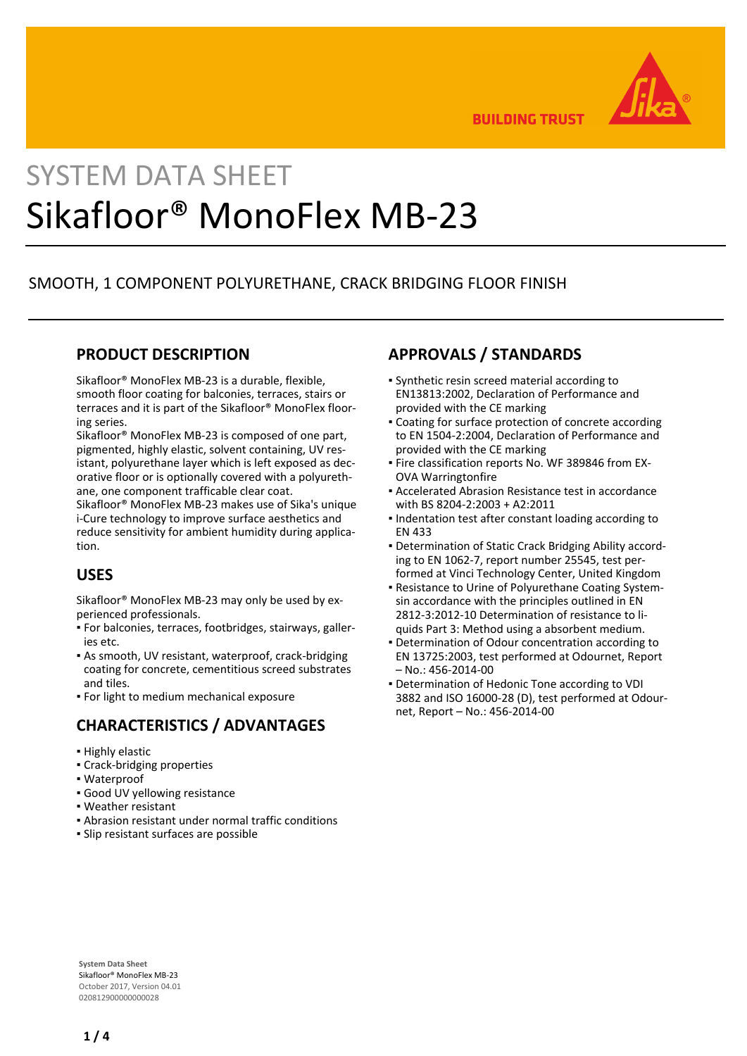

**BUILDING TRUST** 

# SYSTEM DATA SHEET Sikafloor® MonoFlex MB-23

## SMOOTH, 1 COMPONENT POLYURETHANE, CRACK BRIDGING FLOOR FINISH

### **PRODUCT DESCRIPTION**

Sikafloor® MonoFlex MB-23 is a durable, flexible, smooth floor coating for balconies, terraces, stairs or terraces and it is part of the Sikafloor® MonoFlex flooring series.

Sikafloor® MonoFlex MB-23 is composed of one part, pigmented, highly elastic, solvent containing, UV resistant, polyurethane layer which is left exposed as decorative floor or is optionally covered with a polyurethane, one component trafficable clear coat.

Sikafloor® MonoFlex MB-23 makes use of Sika's unique i-Cure technology to improve surface aesthetics and reduce sensitivity for ambient humidity during application.

## **USES**

Sikafloor® MonoFlex MB-23 may only be used by experienced professionals.

- For balconies, terraces, footbridges, stairways, galler-▪ ies etc.
- As smooth, UV resistant, waterproof, crack-bridging coating for concrete, cementitious screed substrates and tiles.
- **For light to medium mechanical exposure**

## **CHARACTERISTICS / ADVANTAGES**

- Highly elastic
- Crack-bridging properties
- Waterproof
- Good UV yellowing resistance
- Weather resistant
- Abrasion resistant under normal traffic conditions
- Slip resistant surfaces are possible

## **APPROVALS / STANDARDS**

- Synthetic resin screed material according to EN13813:2002, Declaration of Performance and provided with the CE marking
- Coating for surface protection of concrete according to EN 1504-2:2004, Declaration of Performance and provided with the CE marking
- **Fire classification reports No. WF 389846 from EX-**OVA Warringtonfire
- **Accelerated Abrasion Resistance test in accordance** with BS 8204-2:2003 + A2:2011
- **.** Indentation test after constant loading according to EN 433
- Determination of Static Crack Bridging Ability accord-▪ ing to EN 1062-7, report number 25545, test performed at Vinci Technology Center, United Kingdom
- Resistance to Urine of Polyurethane Coating System-▪ sin accordance with the principles outlined in EN 2812-3:2012-10 Determination of resistance to liquids Part 3: Method using a absorbent medium.
- **Determination of Odour concentration according to** EN 13725:2003, test performed at Odournet, Report – No.: 456-2014-00
- **Determination of Hedonic Tone according to VDI** 3882 and ISO 16000-28 (D), test performed at Odournet, Report – No.: 456-2014-00

**System Data Sheet** Sikafloor® MonoFlex MB-23 October 2017, Version 04.01 020812900000000028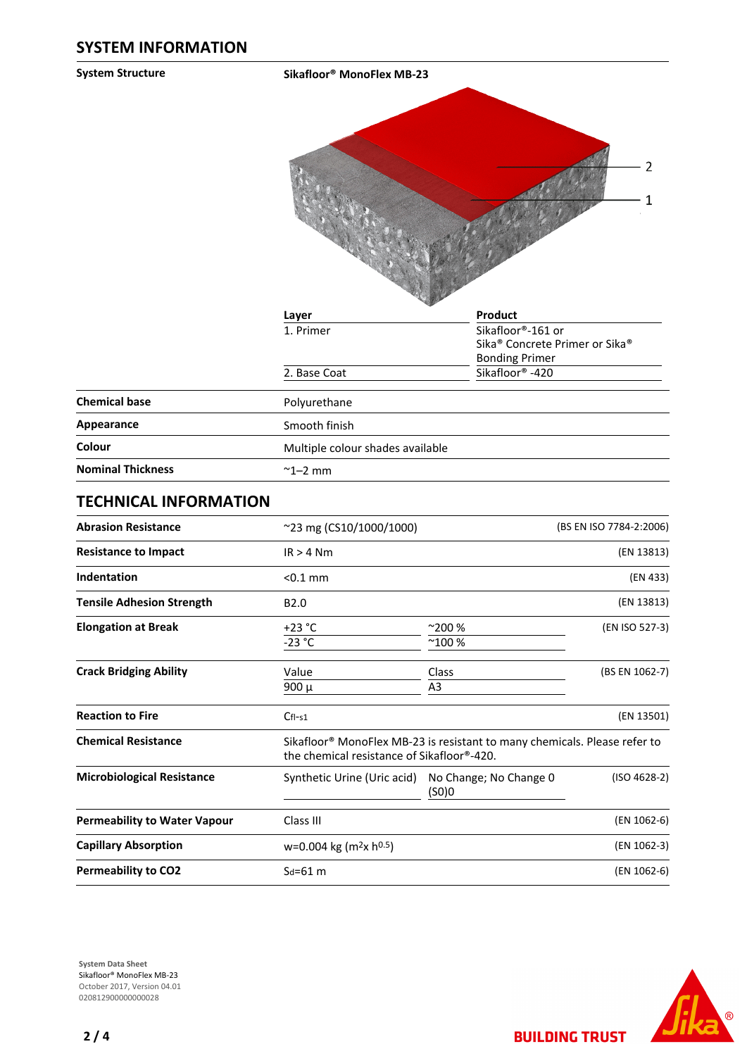**System Structure Sikafloor® MonoFlex MB-23**



|                          | Layer                            | Product                                                                         |
|--------------------------|----------------------------------|---------------------------------------------------------------------------------|
|                          | 1. Primer                        | Sikafloor <sup>®</sup> -161 or                                                  |
|                          |                                  | Sika <sup>®</sup> Concrete Primer or Sika <sup>®</sup><br><b>Bonding Primer</b> |
|                          | 2. Base Coat                     | Sikafloor <sup>®</sup> -420                                                     |
| <b>Chemical base</b>     | Polyurethane                     |                                                                                 |
| <b>Appearance</b>        | Smooth finish                    |                                                                                 |
| Colour                   | Multiple colour shades available |                                                                                 |
| <b>Nominal Thickness</b> | $\sim$ 1–2 mm                    |                                                                                 |

#### **TECHNICAL INFORMATION**

| <b>Abrasion Resistance</b>          | ~23 mg (CS10/1000/1000)                            | (BS EN ISO 7784-2:2006)                                                                                                             |                |  |  |
|-------------------------------------|----------------------------------------------------|-------------------------------------------------------------------------------------------------------------------------------------|----------------|--|--|
| <b>Resistance to Impact</b>         | $IR > 4$ Nm                                        |                                                                                                                                     |                |  |  |
| Indentation                         | $< 0.1$ mm                                         |                                                                                                                                     |                |  |  |
| <b>Tensile Adhesion Strength</b>    | B <sub>2.0</sub>                                   |                                                                                                                                     |                |  |  |
| <b>Elongation at Break</b>          | $+23 °C$                                           | $^{\sim}$ 200 %                                                                                                                     | (EN ISO 527-3) |  |  |
|                                     | $-23$ °C                                           | $^{\sim}100%$                                                                                                                       |                |  |  |
| <b>Crack Bridging Ability</b>       | Value                                              | Class                                                                                                                               | (BS EN 1062-7) |  |  |
|                                     | $900 \mu$                                          | A3                                                                                                                                  |                |  |  |
| <b>Reaction to Fire</b>             | $CfI-S1$                                           |                                                                                                                                     | (EN 13501)     |  |  |
| <b>Chemical Resistance</b>          |                                                    | Sikafloor <sup>®</sup> MonoFlex MB-23 is resistant to many chemicals. Please refer to<br>the chemical resistance of Sikafloor®-420. |                |  |  |
| <b>Microbiological Resistance</b>   | Synthetic Urine (Uric acid) No Change; No Change 0 | (SO)0                                                                                                                               | $(ISO 4628-2)$ |  |  |
| <b>Permeability to Water Vapour</b> | Class III                                          |                                                                                                                                     | (EN 1062-6)    |  |  |
| <b>Capillary Absorption</b>         | $w=0.004$ kg (m <sup>2</sup> x h <sup>0.5</sup> )  |                                                                                                                                     |                |  |  |
| <b>Permeability to CO2</b>          | $Sd = 61$ m                                        |                                                                                                                                     | (EN 1062-6)    |  |  |
|                                     |                                                    |                                                                                                                                     |                |  |  |





**BUILDING TRUST**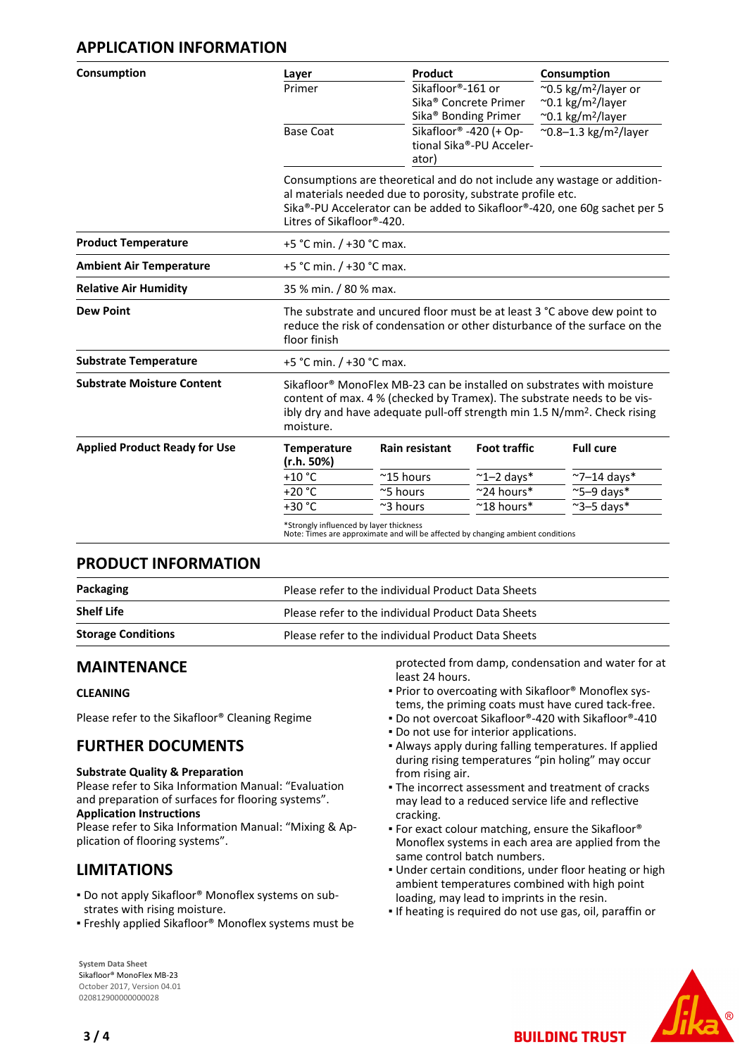## **APPLICATION INFORMATION**

| Consumption                          | Layer                                                                                                                                                                                                                                                               | Product                                                                                                                                                                                                                                           |                                                                       | Consumption                                                                                                             |  |  |
|--------------------------------------|---------------------------------------------------------------------------------------------------------------------------------------------------------------------------------------------------------------------------------------------------------------------|---------------------------------------------------------------------------------------------------------------------------------------------------------------------------------------------------------------------------------------------------|-----------------------------------------------------------------------|-------------------------------------------------------------------------------------------------------------------------|--|--|
|                                      | Primer                                                                                                                                                                                                                                                              | Sikafloor®-161 or                                                                                                                                                                                                                                 | Sika <sup>®</sup> Concrete Primer<br>Sika <sup>®</sup> Bonding Primer | $\sim$ 0.5 kg/m <sup>2</sup> /layer or<br>$^{\sim}$ 0.1 kg/m <sup>2</sup> /layer<br>$\sim$ 0.1 kg/m <sup>2</sup> /layer |  |  |
|                                      | <b>Base Coat</b>                                                                                                                                                                                                                                                    | ator)                                                                                                                                                                                                                                             | Sikafloor® -420 (+ Op-<br>tional Sika®-PU Acceler-                    | $^{\sim}$ 0.8-1.3 kg/m <sup>2</sup> /layer                                                                              |  |  |
|                                      |                                                                                                                                                                                                                                                                     | Consumptions are theoretical and do not include any wastage or addition-<br>al materials needed due to porosity, substrate profile etc.<br>Sika®-PU Accelerator can be added to Sikafloor®-420, one 60g sachet per 5<br>Litres of Sikafloor®-420. |                                                                       |                                                                                                                         |  |  |
| <b>Product Temperature</b>           |                                                                                                                                                                                                                                                                     | +5 °C min. $/$ +30 °C max.                                                                                                                                                                                                                        |                                                                       |                                                                                                                         |  |  |
| <b>Ambient Air Temperature</b>       |                                                                                                                                                                                                                                                                     | +5 °C min. / +30 °C max.                                                                                                                                                                                                                          |                                                                       |                                                                                                                         |  |  |
| <b>Relative Air Humidity</b>         |                                                                                                                                                                                                                                                                     | 35 % min. / 80 % max.                                                                                                                                                                                                                             |                                                                       |                                                                                                                         |  |  |
| <b>Dew Point</b>                     | floor finish                                                                                                                                                                                                                                                        | The substrate and uncured floor must be at least 3 °C above dew point to<br>reduce the risk of condensation or other disturbance of the surface on the                                                                                            |                                                                       |                                                                                                                         |  |  |
| <b>Substrate Temperature</b>         |                                                                                                                                                                                                                                                                     | +5 °C min. / +30 °C max.                                                                                                                                                                                                                          |                                                                       |                                                                                                                         |  |  |
| <b>Substrate Moisture Content</b>    | Sikafloor <sup>®</sup> MonoFlex MB-23 can be installed on substrates with moisture<br>content of max. 4 % (checked by Tramex). The substrate needs to be vis-<br>ibly dry and have adequate pull-off strength min 1.5 N/mm <sup>2</sup> . Check rising<br>moisture. |                                                                                                                                                                                                                                                   |                                                                       |                                                                                                                         |  |  |
| <b>Applied Product Ready for Use</b> | <b>Temperature</b><br>(r.h. 50%)                                                                                                                                                                                                                                    | <b>Rain resistant</b>                                                                                                                                                                                                                             | <b>Foot traffic</b>                                                   | <b>Full cure</b>                                                                                                        |  |  |
|                                      | $+10$ °C                                                                                                                                                                                                                                                            | $~^{\sim}$ 15 hours                                                                                                                                                                                                                               | $~^{\sim}$ 1-2 days*                                                  | $\sim$ 7-14 days*                                                                                                       |  |  |
|                                      | $+20 °C$                                                                                                                                                                                                                                                            | ~5 hours                                                                                                                                                                                                                                          | ~24 hours*                                                            | $\approx$ 5-9 days*                                                                                                     |  |  |
|                                      | $+30 °C$                                                                                                                                                                                                                                                            | $\approx$ 3 hours                                                                                                                                                                                                                                 | $~^{\sim}$ 18 hours*                                                  | $\sim$ 3-5 days*                                                                                                        |  |  |

Note: Times are approximate and will be affected by changing ambient conditions

## **PRODUCT INFORMATION**

| Packaging                 | Please refer to the individual Product Data Sheets |  |
|---------------------------|----------------------------------------------------|--|
| <b>Shelf Life</b>         | Please refer to the individual Product Data Sheets |  |
| <b>Storage Conditions</b> | Please refer to the individual Product Data Sheets |  |

## **MAINTENANCE**

#### **CLEANING**

Please refer to the Sikafloor® Cleaning Regime

## **FURTHER DOCUMENTS**

#### **Substrate Quality & Preparation**

Please refer to Sika Information Manual: "Evaluation and preparation of surfaces for flooring systems". **Application Instructions**

Please refer to Sika Information Manual: "Mixing & Application of flooring systems".

## **LIMITATIONS**

- Do not apply Sikafloor® Monoflex systems on sub-▪ strates with rising moisture.
- Freshly applied Sikafloor® Monoflex systems must be

**System Data Sheet** Sikafloor® MonoFlex MB-23 October 2017, Version 04.01 020812900000000028

protected from damp, condensation and water for at least 24 hours.

- Prior to overcoating with Sikafloor® Monoflex sys-▪ tems, the priming coats must have cured tack-free.
- Do not overcoat Sikafloor®-420 with Sikafloor®-410
- Do not use for interior applications.
- Always apply during falling temperatures. If applied during rising temperatures "pin holing" may occur from rising air.
- The incorrect assessment and treatment of cracks may lead to a reduced service life and reflective cracking.
- For exact colour matching, ensure the Sikafloor® Monoflex systems in each area are applied from the same control batch numbers.
- Under certain conditions, under floor heating or high ambient temperatures combined with high point loading, may lead to imprints in the resin.
- If heating is required do not use gas, oil, paraffin or

**BUILDING TRUST**